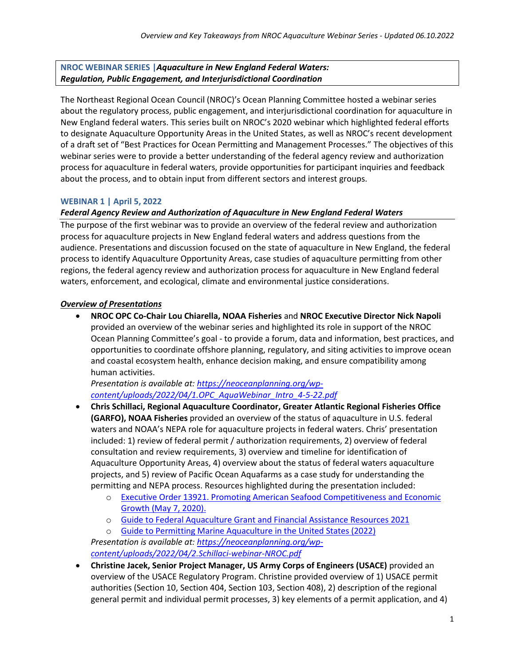**NROC WEBINAR SERIES |***Aquaculture in New England Federal Waters: Regulation, Public Engagement, and Interjurisdictional Coordination*

The Northeast Regional Ocean Council (NROC)'s Ocean Planning Committee hosted a webinar series about the regulatory process, public engagement, and interjurisdictional coordination for aquaculture in New England federal waters. This series built on NROC's 2020 webinar which highlighted federal efforts to designate Aquaculture Opportunity Areas in the United States, as well as NROC's recent development of a draft set of "Best Practices for Ocean Permitting and Management Processes." The objectives of this webinar series were to provide a better understanding of the federal agency review and authorization process for aquaculture in federal waters, provide opportunities for participant inquiries and feedback about the process, and to obtain input from different sectors and interest groups.

### **WEBINAR 1 | April 5, 2022**

### *Federal Agency Review and Authorization of Aquaculture in New England Federal Waters*

The purpose of the first webinar was to provide an overview of the federal review and authorization process for aquaculture projects in New England federal waters and address questions from the audience. Presentations and discussion focused on the state of aquaculture in New England, the federal process to identify Aquaculture Opportunity Areas, case studies of aquaculture permitting from other regions, the federal agency review and authorization process for aquaculture in New England federal waters, enforcement, and ecological, climate and environmental justice considerations.

#### *Overview of Presentations*

• **NROC OPC Co-Chair Lou Chiarella, NOAA Fisheries** and **NROC Executive Director Nick Napoli** provided an overview of the webinar series and highlighted its role in support of the NROC Ocean Planning Committee's goal - to provide a forum, data and information, best practices, and opportunities to coordinate offshore planning, regulatory, and siting activities to improve ocean and coastal ecosystem health, enhance decision making, and ensure compatibility among human activities.

*Presentation is available at: [https://neoceanplanning.org/wp](https://neoceanplanning.org/wp-content/uploads/2022/04/1.OPC_AquaWebinar_Intro_4-5-22.pdf)[content/uploads/2022/04/1.OPC\\_AquaWebinar\\_Intro\\_4-5-22.pdf](https://neoceanplanning.org/wp-content/uploads/2022/04/1.OPC_AquaWebinar_Intro_4-5-22.pdf)* 

- **Chris Schillaci, Regional Aquaculture Coordinator, Greater Atlantic Regional Fisheries Office (GARFO), NOAA Fisheries** provided an overview of the status of aquaculture in U.S. federal waters and NOAA's NEPA role for aquaculture projects in federal waters. Chris' presentation included: 1) review of federal permit / authorization requirements, 2) overview of federal consultation and review requirements, 3) overview and timeline for identification of Aquaculture Opportunity Areas, 4) overview about the status of federal waters aquaculture projects, and 5) review of Pacific Ocean Aquafarms as a case study for understanding the permitting and NEPA process. Resources highlighted during the presentation included:
	- o [Executive Order 13921. Promoting American Seafood Competitiveness and Economic](https://www.federalregister.gov/documents/2020/05/12/2020-10315/promoting-american-seafood-competitiveness-and-economic-growth)  [Growth \(May 7, 2020\).](https://www.federalregister.gov/documents/2020/05/12/2020-10315/promoting-american-seafood-competitiveness-and-economic-growth)
	- o [Guide to Federal Aquaculture Grant and Financial Assistance Resources 2021](https://www.fisheries.noaa.gov/resource/document/guide-federal-aquaculture-grant-and-financial-assistance-services-2021)

o [Guide to Permitting Marine Aquaculture in the United States \(2022\)](https://www.fisheries.noaa.gov/resource/document/guide-permitting-marine-aquaculture-united-states-2022) *Presentation is available at: [https://neoceanplanning.org/wp](https://neoceanplanning.org/wp-content/uploads/2022/04/2.Schillaci-webinar-NROC.pdf)[content/uploads/2022/04/2.Schillaci-webinar-NROC.pdf](https://neoceanplanning.org/wp-content/uploads/2022/04/2.Schillaci-webinar-NROC.pdf)* 

• **Christine Jacek, Senior Project Manager, US Army Corps of Engineers (USACE)** provided an overview of the USACE Regulatory Program. Christine provided overview of 1) USACE permit authorities (Section 10, Section 404, Section 103, Section 408), 2) description of the regional general permit and individual permit processes, 3) key elements of a permit application, and 4)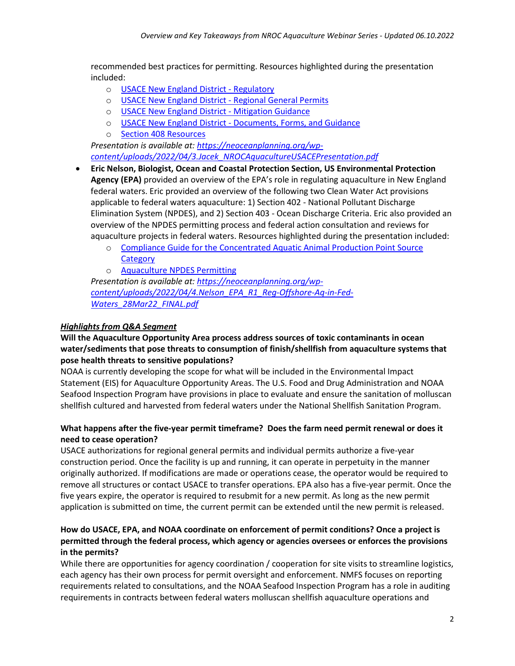recommended best practices for permitting. Resources highlighted during the presentation included:

- o [USACE New England District Regulatory](https://www.nae.usace.army.mil/Missions/Regulatory/)
- o [USACE New England District Regional General Permits](https://www.nae.usace.army.mil/Missions/Regulatory/State-General-Permits/)
- o [USACE New England District Mitigation Guidance](https://www.nae.usace.army.mil/Missions/Regulatory/Mitigation/)
- o [USACE New England District Documents, Forms, and Guidance](https://www.nae.usace.army.mil/Missions/Regulatory/Useful-Documents-Forms-and-Publications/)
- o [Section 408](https://www.nae.usace.army.mil/Missions/Section-408/) Resources

*Presentation is available at: [https://neoceanplanning.org/wp](https://neoceanplanning.org/wp-content/uploads/2022/04/3.Jacek_NROCAquacultureUSACEPresentation.pdf)[content/uploads/2022/04/3.Jacek\\_NROCAquacultureUSACEPresentation.pdf](https://neoceanplanning.org/wp-content/uploads/2022/04/3.Jacek_NROCAquacultureUSACEPresentation.pdf)* 

- **Eric Nelson, Biologist, Ocean and Coastal Protection Section, US Environmental Protection Agency (EPA)** provided an overview of the EPA's role in regulating aquaculture in New England federal waters. Eric provided an overview of the following two Clean Water Act provisions applicable to federal waters aquaculture: 1) Section 402 - National Pollutant Discharge Elimination System (NPDES), and 2) Section 403 - Ocean Discharge Criteria. Eric also provided an overview of the NPDES permitting process and federal action consultation and reviews for aquaculture projects in federal waters. Resources highlighted during the presentation included:
	- o [Compliance Guide for the Concentrated Aquatic Animal Production Point Source](https://www.epa.gov/sites/default/files/2015-11/documents/caap-aquaculture_compliance-guide_2006.pdf)  **[Category](https://www.epa.gov/sites/default/files/2015-11/documents/caap-aquaculture_compliance-guide_2006.pdf)**
	- o [Aquaculture NPDES Permitting](https://www.epa.gov/npdes/aquaculture-npdes-permitting)

*Presentation is available at: [https://neoceanplanning.org/wp](https://neoceanplanning.org/wp-content/uploads/2022/04/4.Nelson_EPA_R1_Reg-Offshore-Aq-in-Fed-Waters_28Mar22_FINAL.pdf)[content/uploads/2022/04/4.Nelson\\_EPA\\_R1\\_Reg-Offshore-Aq-in-Fed-](https://neoceanplanning.org/wp-content/uploads/2022/04/4.Nelson_EPA_R1_Reg-Offshore-Aq-in-Fed-Waters_28Mar22_FINAL.pdf)[Waters\\_28Mar22\\_FINAL.pdf](https://neoceanplanning.org/wp-content/uploads/2022/04/4.Nelson_EPA_R1_Reg-Offshore-Aq-in-Fed-Waters_28Mar22_FINAL.pdf)*

### *Highlights from Q&A Segment*

## **Will the Aquaculture Opportunity Area process address sources of toxic contaminants in ocean water/sediments that pose threats to consumption of finish/shellfish from aquaculture systems that pose health threats to sensitive populations?**

NOAA is currently developing the scope for what will be included in the Environmental Impact Statement (EIS) for Aquaculture Opportunity Areas. The U.S. Food and Drug Administration and NOAA Seafood Inspection Program have provisions in place to evaluate and ensure the sanitation of molluscan shellfish cultured and harvested from federal waters under the National Shellfish Sanitation Program.

### **What happens after the five-year permit timeframe? Does the farm need permit renewal or does it need to cease operation?**

USACE authorizations for regional general permits and individual permits authorize a five-year construction period. Once the facility is up and running, it can operate in perpetuity in the manner originally authorized. If modifications are made or operations cease, the operator would be required to remove all structures or contact USACE to transfer operations. EPA also has a five-year permit. Once the five years expire, the operator is required to resubmit for a new permit. As long as the new permit application is submitted on time, the current permit can be extended until the new permit is released.

## **How do USACE, EPA, and NOAA coordinate on enforcement of permit conditions? Once a project is permitted through the federal process, which agency or agencies oversees or enforces the provisions in the permits?**

While there are opportunities for agency coordination / cooperation for site visits to streamline logistics, each agency has their own process for permit oversight and enforcement. NMFS focuses on reporting requirements related to consultations, and the NOAA Seafood Inspection Program has a role in auditing requirements in contracts between federal waters molluscan shellfish aquaculture operations and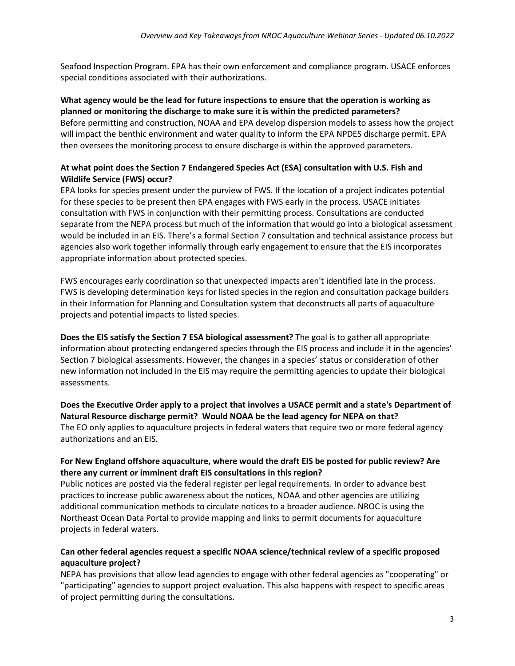Seafood Inspection Program. EPA has their own enforcement and compliance program. USACE enforces special conditions associated with their authorizations.

#### **What agency would be the lead for future inspections to ensure that the operation is working as planned or monitoring the discharge to make sure it is within the predicted parameters?**

Before permitting and construction, NOAA and EPA develop dispersion models to assess how the project will impact the benthic environment and water quality to inform the EPA NPDES discharge permit. EPA then oversees the monitoring process to ensure discharge is within the approved parameters.

## **At what point does the Section 7 Endangered Species Act (ESA) consultation with U.S. Fish and Wildlife Service (FWS) occur?**

EPA looks for species present under the purview of FWS. If the location of a project indicates potential for these species to be present then EPA engages with FWS early in the process. USACE initiates consultation with FWS in conjunction with their permitting process. Consultations are conducted separate from the NEPA process but much of the information that would go into a biological assessment would be included in an EIS. There's a formal Section 7 consultation and technical assistance process but agencies also work together informally through early engagement to ensure that the EIS incorporates appropriate information about protected species.

FWS encourages early coordination so that unexpected impacts aren't identified late in the process. FWS is developing determination keys for listed species in the region and consultation package builders in their Information for Planning and Consultation system that deconstructs all parts of aquaculture projects and potential impacts to listed species.

**Does the EIS satisfy the Section 7 ESA biological assessment?** The goal is to gather all appropriate information about protecting endangered species through the EIS process and include it in the agencies' Section 7 biological assessments. However, the changes in a species' status or consideration of other new information not included in the EIS may require the permitting agencies to update their biological assessments.

**Does the Executive Order apply to a project that involves a USACE permit and a state's Department of Natural Resource discharge permit? Would NOAA be the lead agency for NEPA on that?** The EO only applies to aquaculture projects in federal waters that require two or more federal agency authorizations and an EIS.

## **For New England offshore aquaculture, where would the draft EIS be posted for public review? Are there any current or imminent draft EIS consultations in this region?**

Public notices are posted via the federal register per legal requirements. In order to advance best practices to increase public awareness about the notices, NOAA and other agencies are utilizing additional communication methods to circulate notices to a broader audience. NROC is using the Northeast Ocean Data Portal to provide mapping and links to permit documents for aquaculture projects in federal waters.

### **Can other federal agencies request a specific NOAA science/technical review of a specific proposed aquaculture project?**

NEPA has provisions that allow lead agencies to engage with other federal agencies as "cooperating" or "participating" agencies to support project evaluation. This also happens with respect to specific areas of project permitting during the consultations.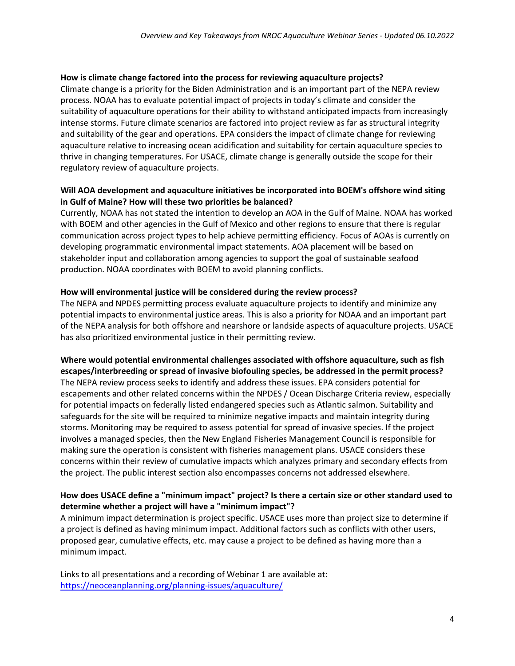#### **How is climate change factored into the process for reviewing aquaculture projects?**

Climate change is a priority for the Biden Administration and is an important part of the NEPA review process. NOAA has to evaluate potential impact of projects in today's climate and consider the suitability of aquaculture operations for their ability to withstand anticipated impacts from increasingly intense storms. Future climate scenarios are factored into project review as far as structural integrity and suitability of the gear and operations. EPA considers the impact of climate change for reviewing aquaculture relative to increasing ocean acidification and suitability for certain aquaculture species to thrive in changing temperatures. For USACE, climate change is generally outside the scope for their regulatory review of aquaculture projects.

### **Will AOA development and aquaculture initiatives be incorporated into BOEM's offshore wind siting in Gulf of Maine? How will these two priorities be balanced?**

Currently, NOAA has not stated the intention to develop an AOA in the Gulf of Maine. NOAA has worked with BOEM and other agencies in the Gulf of Mexico and other regions to ensure that there is regular communication across project types to help achieve permitting efficiency. Focus of AOAs is currently on developing programmatic environmental impact statements. AOA placement will be based on stakeholder input and collaboration among agencies to support the goal of sustainable seafood production. NOAA coordinates with BOEM to avoid planning conflicts.

#### **How will environmental justice will be considered during the review process?**

The NEPA and NPDES permitting process evaluate aquaculture projects to identify and minimize any potential impacts to environmental justice areas. This is also a priority for NOAA and an important part of the NEPA analysis for both offshore and nearshore or landside aspects of aquaculture projects. USACE has also prioritized environmental justice in their permitting review.

**Where would potential environmental challenges associated with offshore aquaculture, such as fish escapes/interbreeding or spread of invasive biofouling species, be addressed in the permit process?** The NEPA review process seeks to identify and address these issues. EPA considers potential for escapements and other related concerns within the NPDES / Ocean Discharge Criteria review, especially for potential impacts on federally listed endangered species such as Atlantic salmon. Suitability and safeguards for the site will be required to minimize negative impacts and maintain integrity during storms. Monitoring may be required to assess potential for spread of invasive species. If the project involves a managed species, then the New England Fisheries Management Council is responsible for making sure the operation is consistent with fisheries management plans. USACE considers these concerns within their review of cumulative impacts which analyzes primary and secondary effects from the project. The public interest section also encompasses concerns not addressed elsewhere.

## **How does USACE define a "minimum impact" project? Is there a certain size or other standard used to determine whether a project will have a "minimum impact"?**

A minimum impact determination is project specific. USACE uses more than project size to determine if a project is defined as having minimum impact. Additional factors such as conflicts with other users, proposed gear, cumulative effects, etc. may cause a project to be defined as having more than a minimum impact.

Links to all presentations and a recording of Webinar 1 are available at: <https://neoceanplanning.org/planning-issues/aquaculture/>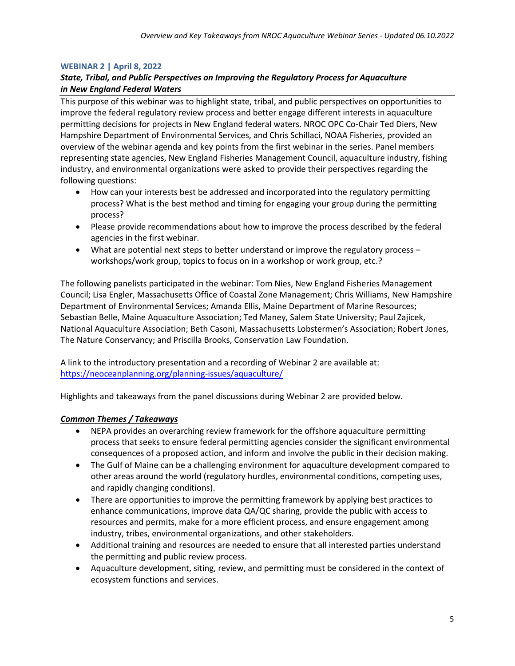#### **WEBINAR 2 | April 8, 2022**

### *State, Tribal, and Public Perspectives on Improving the Regulatory Process for Aquaculture in New England Federal Waters*

This purpose of this webinar was to highlight state, tribal, and public perspectives on opportunities to improve the federal regulatory review process and better engage different interests in aquaculture permitting decisions for projects in New England federal waters. NROC OPC Co-Chair Ted Diers, New Hampshire Department of Environmental Services, and Chris Schillaci, NOAA Fisheries, provided an overview of the webinar agenda and key points from the first webinar in the series. Panel members representing state agencies, New England Fisheries Management Council, aquaculture industry, fishing industry, and environmental organizations were asked to provide their perspectives regarding the following questions:

- How can your interests best be addressed and incorporated into the regulatory permitting process? What is the best method and timing for engaging your group during the permitting process?
- Please provide recommendations about how to improve the process described by the federal agencies in the first webinar.
- What are potential next steps to better understand or improve the regulatory process workshops/work group, topics to focus on in a workshop or work group, etc.?

The following panelists participated in the webinar: Tom Nies, New England Fisheries Management Council; Lisa Engler, Massachusetts Office of Coastal Zone Management; Chris Williams, New Hampshire Department of Environmental Services; Amanda Ellis, Maine Department of Marine Resources; Sebastian Belle, Maine Aquaculture Association; Ted Maney, Salem State University; Paul Zajicek, National Aquaculture Association; Beth Casoni, Massachusetts Lobstermen's Association; Robert Jones, The Nature Conservancy; and Priscilla Brooks, Conservation Law Foundation.

A link to the introductory presentation and a recording of Webinar 2 are available at: <https://neoceanplanning.org/planning-issues/aquaculture/>

Highlights and takeaways from the panel discussions during Webinar 2 are provided below.

#### *Common Themes / Takeaways*

- NEPA provides an overarching review framework for the offshore aquaculture permitting process that seeks to ensure federal permitting agencies consider the significant environmental consequences of a proposed action, and inform and involve the public in their decision making.
- The Gulf of Maine can be a challenging environment for aquaculture development compared to other areas around the world (regulatory hurdles, environmental conditions, competing uses, and rapidly changing conditions).
- There are opportunities to improve the permitting framework by applying best practices to enhance communications, improve data QA/QC sharing, provide the public with access to resources and permits, make for a more efficient process, and ensure engagement among industry, tribes, environmental organizations, and other stakeholders.
- Additional training and resources are needed to ensure that all interested parties understand the permitting and public review process.
- Aquaculture development, siting, review, and permitting must be considered in the context of ecosystem functions and services.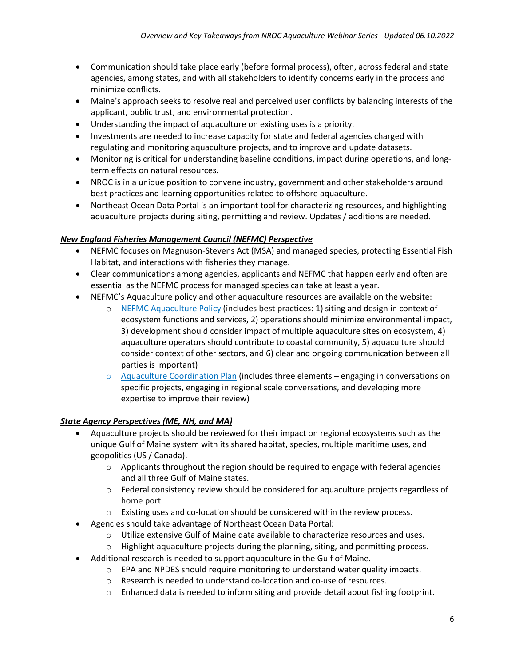- Communication should take place early (before formal process), often, across federal and state agencies, among states, and with all stakeholders to identify concerns early in the process and minimize conflicts.
- Maine's approach seeks to resolve real and perceived user conflicts by balancing interests of the applicant, public trust, and environmental protection.
- Understanding the impact of aquaculture on existing uses is a priority.
- Investments are needed to increase capacity for state and federal agencies charged with regulating and monitoring aquaculture projects, and to improve and update datasets.
- Monitoring is critical for understanding baseline conditions, impact during operations, and longterm effects on natural resources.
- NROC is in a unique position to convene industry, government and other stakeholders around best practices and learning opportunities related to offshore aquaculture.
- Northeast Ocean Data Portal is an important tool for characterizing resources, and highlighting aquaculture projects during siting, permitting and review. Updates / additions are needed.

## *New England Fisheries Management Council (NEFMC) Perspective*

- NEFMC focuses on Magnuson-Stevens Act (MSA) and managed species, protecting Essential Fish Habitat, and interactions with fisheries they manage.
- Clear communications among agencies, applicants and NEFMC that happen early and often are essential as the NEFMC process for managed species can take at least a year.
- NEFMC's Aquaculture policy and other aquaculture resources are available on the website:
	- o NEFMC [Aquaculture Policy](https://s3.us-east-1.amazonaws.com/nefmc.org/NEFMC-Aquaculture-Policy-1-Dec-2020_201221_095229.pdf) (includes best practices: 1) siting and design in context of ecosystem functions and services, 2) operations should minimize environmental impact, 3) development should consider impact of multiple aquaculture sites on ecosystem, 4) aquaculture operators should contribute to coastal community, 5) aquaculture should consider context of other sectors, and 6) clear and ongoing communication between all parties is important)
	- $\circ$  [Aquaculture Coordination Plan](https://s3.us-east-1.amazonaws.com/nefmc.org/NEFMC-NOAA-Aquaculture-Coordination-Plan-April-2021.pdf) (includes three elements engaging in conversations on specific projects, engaging in regional scale conversations, and developing more expertise to improve their review)

## *State Agency Perspectives (ME, NH, and MA)*

- Aquaculture projects should be reviewed for their impact on regional ecosystems such as the unique Gulf of Maine system with its shared habitat, species, multiple maritime uses, and geopolitics (US / Canada).
	- $\circ$  Applicants throughout the region should be required to engage with federal agencies and all three Gulf of Maine states.
	- o Federal consistency review should be considered for aquaculture projects regardless of home port.
	- o Existing uses and co-location should be considered within the review process.
	- Agencies should take advantage of Northeast Ocean Data Portal:
		- o Utilize extensive Gulf of Maine data available to characterize resources and uses.
		- o Highlight aquaculture projects during the planning, siting, and permitting process.
- Additional research is needed to support aquaculture in the Gulf of Maine.
	- $\circ$  EPA and NPDES should require monitoring to understand water quality impacts.
	- o Research is needed to understand co-location and co-use of resources.
	- o Enhanced data is needed to inform siting and provide detail about fishing footprint.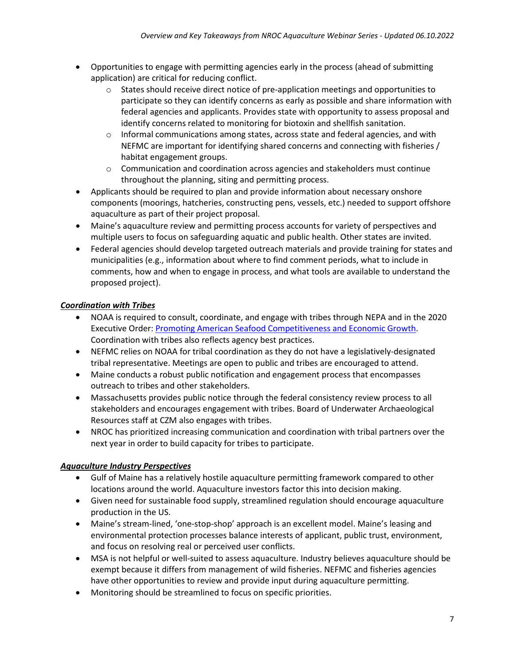- Opportunities to engage with permitting agencies early in the process (ahead of submitting application) are critical for reducing conflict.
	- $\circ$  States should receive direct notice of pre-application meetings and opportunities to participate so they can identify concerns as early as possible and share information with federal agencies and applicants. Provides state with opportunity to assess proposal and identify concerns related to monitoring for biotoxin and shellfish sanitation.
	- $\circ$  Informal communications among states, across state and federal agencies, and with NEFMC are important for identifying shared concerns and connecting with fisheries / habitat engagement groups.
	- $\circ$  Communication and coordination across agencies and stakeholders must continue throughout the planning, siting and permitting process.
- Applicants should be required to plan and provide information about necessary onshore components (moorings, hatcheries, constructing pens, vessels, etc.) needed to support offshore aquaculture as part of their project proposal.
- Maine's aquaculture review and permitting process accounts for variety of perspectives and multiple users to focus on safeguarding aquatic and public health. Other states are invited.
- Federal agencies should develop targeted outreach materials and provide training for states and municipalities (e.g., information about where to find comment periods, what to include in comments, how and when to engage in process, and what tools are available to understand the proposed project).

# *Coordination with Tribes*

- NOAA is required to consult, coordinate, and engage with tribes through NEPA and in the 2020 Executive Order: [Promoting American Seafood Competitiveness and Economic Growth.](https://www.federalregister.gov/documents/2020/05/12/2020-10315/promoting-american-seafood-competitiveness-and-economic-growth) Coordination with tribes also reflects agency best practices.
- NEFMC relies on NOAA for tribal coordination as they do not have a legislatively-designated tribal representative. Meetings are open to public and tribes are encouraged to attend.
- Maine conducts a robust public notification and engagement process that encompasses outreach to tribes and other stakeholders.
- Massachusetts provides public notice through the federal consistency review process to all stakeholders and encourages engagement with tribes. Board of Underwater Archaeological Resources staff at CZM also engages with tribes.
- NROC has prioritized increasing communication and coordination with tribal partners over the next year in order to build capacity for tribes to participate.

## *Aquaculture Industry Perspectives*

- Gulf of Maine has a relatively hostile aquaculture permitting framework compared to other locations around the world. Aquaculture investors factor this into decision making.
- Given need for sustainable food supply, streamlined regulation should encourage aquaculture production in the US.
- Maine's stream-lined, 'one-stop-shop' approach is an excellent model. Maine's leasing and environmental protection processes balance interests of applicant, public trust, environment, and focus on resolving real or perceived user conflicts.
- MSA is not helpful or well-suited to assess aquaculture. Industry believes aquaculture should be exempt because it differs from management of wild fisheries. NEFMC and fisheries agencies have other opportunities to review and provide input during aquaculture permitting.
- Monitoring should be streamlined to focus on specific priorities.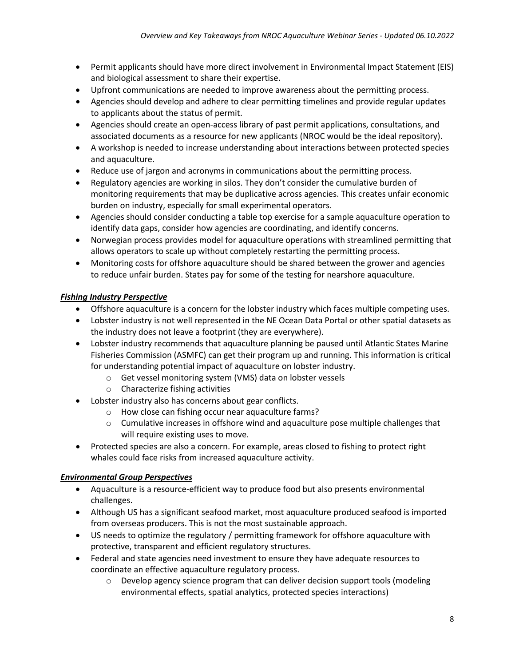- Permit applicants should have more direct involvement in Environmental Impact Statement (EIS) and biological assessment to share their expertise.
- Upfront communications are needed to improve awareness about the permitting process.
- Agencies should develop and adhere to clear permitting timelines and provide regular updates to applicants about the status of permit.
- Agencies should create an open-access library of past permit applications, consultations, and associated documents as a resource for new applicants (NROC would be the ideal repository).
- A workshop is needed to increase understanding about interactions between protected species and aquaculture.
- Reduce use of jargon and acronyms in communications about the permitting process.
- Regulatory agencies are working in silos. They don't consider the cumulative burden of monitoring requirements that may be duplicative across agencies. This creates unfair economic burden on industry, especially for small experimental operators.
- Agencies should consider conducting a table top exercise for a sample aquaculture operation to identify data gaps, consider how agencies are coordinating, and identify concerns.
- Norwegian process provides model for aquaculture operations with streamlined permitting that allows operators to scale up without completely restarting the permitting process.
- Monitoring costs for offshore aquaculture should be shared between the grower and agencies to reduce unfair burden. States pay for some of the testing for nearshore aquaculture.

# *Fishing Industry Perspective*

- Offshore aquaculture is a concern for the lobster industry which faces multiple competing uses.
- Lobster industry is not well represented in the NE Ocean Data Portal or other spatial datasets as the industry does not leave a footprint (they are everywhere).
- Lobster industry recommends that aquaculture planning be paused until Atlantic States Marine Fisheries Commission (ASMFC) can get their program up and running. This information is critical for understanding potential impact of aquaculture on lobster industry.
	- o Get vessel monitoring system (VMS) data on lobster vessels
	- o Characterize fishing activities
	- Lobster industry also has concerns about gear conflicts.
		- o How close can fishing occur near aquaculture farms?
		- $\circ$  Cumulative increases in offshore wind and aquaculture pose multiple challenges that will require existing uses to move.
- Protected species are also a concern. For example, areas closed to fishing to protect right whales could face risks from increased aquaculture activity.

## *Environmental Group Perspectives*

- Aquaculture is a resource-efficient way to produce food but also presents environmental challenges.
- Although US has a significant seafood market, most aquaculture produced seafood is imported from overseas producers. This is not the most sustainable approach.
- US needs to optimize the regulatory / permitting framework for offshore aquaculture with protective, transparent and efficient regulatory structures.
- Federal and state agencies need investment to ensure they have adequate resources to coordinate an effective aquaculture regulatory process.
	- $\circ$  Develop agency science program that can deliver decision support tools (modeling environmental effects, spatial analytics, protected species interactions)